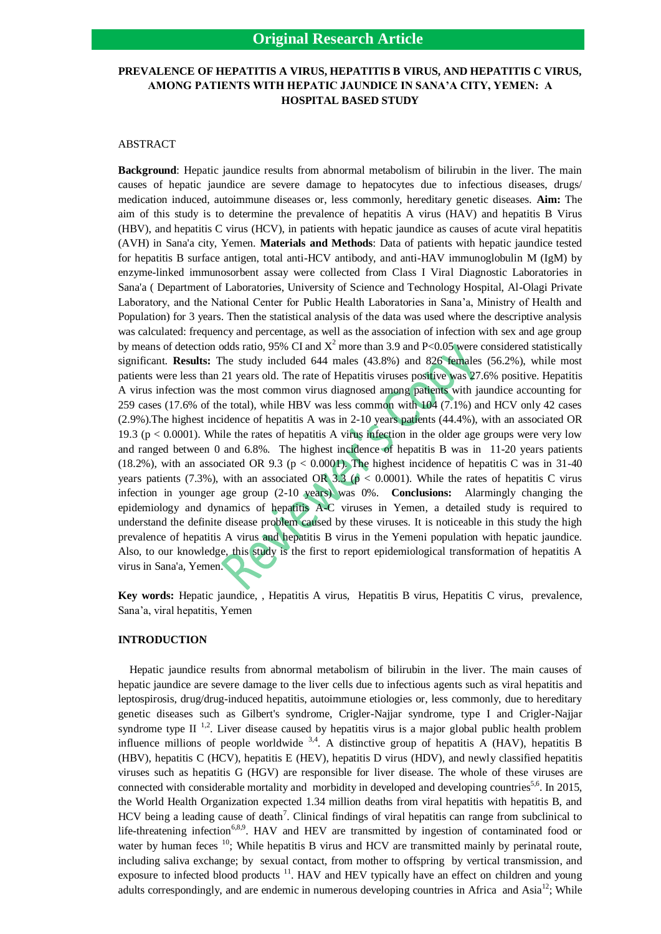# **PREVALENCE OF HEPATITIS A VIRUS, HEPATITIS B VIRUS, AND HEPATITIS C VIRUS, AMONG PATIENTS WITH HEPATIC JAUNDICE IN SANA'A CITY, YEMEN: A HOSPITAL BASED STUDY**

## ABSTRACT

**Background**: Hepatic jaundice results from abnormal metabolism of bilirubin in the liver. The main causes of hepatic jaundice are severe damage to hepatocytes due to infectious diseases, drugs/ medication induced, autoimmune diseases or, less commonly, hereditary genetic diseases. **Aim:** The aim of this study is to determine the prevalence of hepatitis A virus (HAV) and hepatitis B Virus (HBV), and hepatitis C virus (HCV), in patients with hepatic jaundice as causes of acute viral hepatitis (AVH) in Sana'a city, Yemen. **Materials and Methods**: Data of patients with hepatic jaundice tested for hepatitis B surface antigen, total anti-HCV antibody, and anti-HAV immunoglobulin M (IgM) by enzyme-linked immunosorbent assay were collected from Class I Viral Diagnostic Laboratories in Sana'a ( Department of Laboratories, University of Science and Technology Hospital, Al-Olagi Private Laboratory, and the National Center for Public Health Laboratories in Sana'a, Ministry of Health and Population) for 3 years. Then the statistical analysis of the data was used where the descriptive analysis was calculated: frequency and percentage, as well as the association of infection with sex and age group by means of detection odds ratio, 95% CI and  $X^2$  more than 3.9 and P<0.05 were considered statistically significant. **Results:** The study included 644 males (43.8%) and 826 females (56.2%), while most patients were less than 21 years old. The rate of Hepatitis viruses positive was 27.6% positive. Hepatitis A virus infection was the most common virus diagnosed among patients with jaundice accounting for 259 cases (17.6% of the total), while HBV was less common with 104 (7.1%) and HCV only 42 cases (2.9%).The highest incidence of hepatitis A was in 2-10 years patients (44.4%), with an associated OR 19.3 ( $p < 0.0001$ ). While the rates of hepatitis A virus infection in the older age groups were very low and ranged between 0 and 6.8%. The highest incidence of hepatitis B was in 11-20 years patients (18.2%), with an associated OR 9.3 ( $p < 0.0001$ ). The highest incidence of hepatitis C was in 31-40 years patients (7.3%), with an associated OR 3.3 ( $p < 0.0001$ ). While the rates of hepatitis C virus infection in younger age group (2-10 years) was 0%. **Conclusions:** Alarmingly changing the epidemiology and dynamics of hepatitis A-C viruses in Yemen, a detailed study is required to understand the definite disease problem caused by these viruses. It is noticeable in this study the high prevalence of hepatitis A virus and hepatitis B virus in the Yemeni population with hepatic jaundice. Also, to our knowledge, this study is the first to report epidemiological transformation of hepatitis A virus in Sana'a, Yemen.

**Key words:** Hepatic jaundice, , Hepatitis A virus, Hepatitis B virus, Hepatitis C virus, prevalence, Sana'a, viral hepatitis, Yemen

## **INTRODUCTION**

 Hepatic jaundice results from abnormal metabolism of bilirubin in the liver. The main causes of hepatic jaundice are severe damage to the liver cells due to infectious agents such as viral hepatitis and leptospirosis, drug/drug-induced hepatitis, autoimmune etiologies or, less commonly, due to hereditary genetic diseases such as Gilbert's syndrome, Crigler-Najjar syndrome, type I and Crigler-Najjar syndrome type  $II$ <sup>1,2</sup>. Liver disease caused by hepatitis virus is a major global public health problem influence millions of people worldwide  $3,4$ . A distinctive group of hepatitis A (HAV), hepatitis B (HBV), hepatitis C (HCV), hepatitis E (HEV), hepatitis D virus (HDV), and newly classified hepatitis viruses such as hepatitis G (HGV) are responsible for liver disease. The whole of these viruses are connected with considerable mortality and morbidity in developed and developing countries<sup>5,6</sup>. In 2015, the World Health Organization expected 1.34 million deaths from viral hepatitis with hepatitis B, and HCV being a leading cause of death<sup>7</sup>. Clinical findings of viral hepatitis can range from subclinical to life-threatening infection<sup>6,8,9</sup>. HAV and HEV are transmitted by ingestion of contaminated food or water by human feces <sup>10</sup>; While hepatitis B virus and HCV are transmitted mainly by perinatal route, including saliva exchange; by sexual contact, from mother to offspring by vertical transmission, and exposure to infected blood products  $<sup>11</sup>$ . HAV and HEV typically have an effect on children and young</sup> adults correspondingly, and are endemic in numerous developing countries in Africa and Asia<sup>12</sup>; While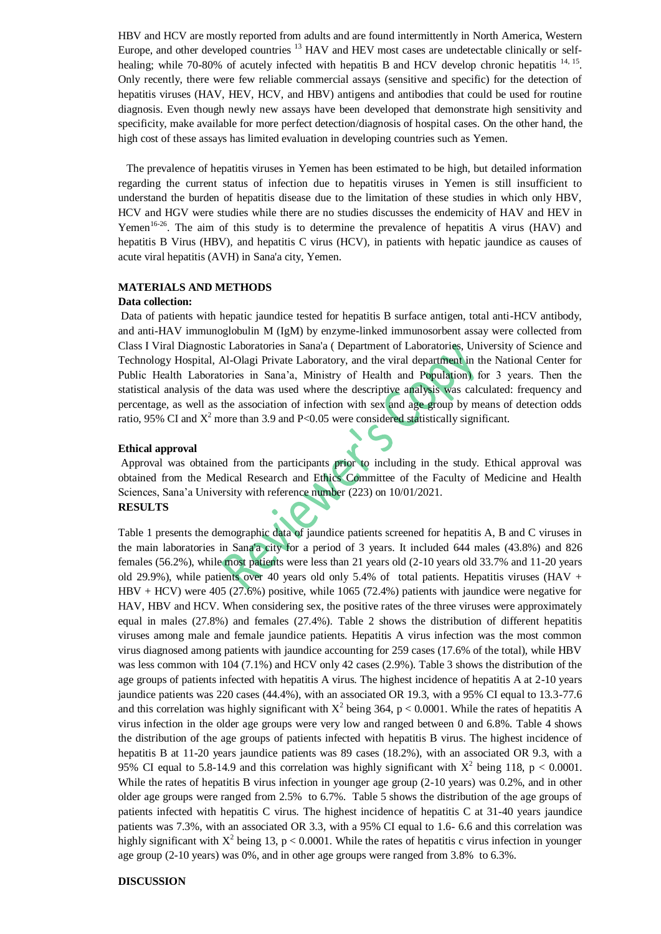HBV and HCV are mostly reported from adults and are found intermittently in North America, Western Europe, and other developed countries <sup>13</sup> HAV and HEV most cases are undetectable clinically or selfhealing; while 70-80% of acutely infected with hepatitis B and HCV develop chronic hepatitis <sup>14, 15</sup>. Only recently, there were few reliable commercial assays (sensitive and specific) for the detection of hepatitis viruses (HAV, HEV, HCV, and HBV) antigens and antibodies that could be used for routine diagnosis. Even though newly new assays have been developed that demonstrate high sensitivity and specificity, make available for more perfect detection/diagnosis of hospital cases. On the other hand, the high cost of these assays has limited evaluation in developing countries such as Yemen.

 The prevalence of hepatitis viruses in Yemen has been estimated to be high, but detailed information regarding the current status of infection due to hepatitis viruses in Yemen is still insufficient to understand the burden of hepatitis disease due to the limitation of these studies in which only HBV, HCV and HGV were studies while there are no studies discusses the endemicity of HAV and HEV in Yemen<sup>16-26</sup>. The aim of this study is to determine the prevalence of hepatitis A virus (HAV) and hepatitis B Virus (HBV), and hepatitis C virus (HCV), in patients with hepatic jaundice as causes of acute viral hepatitis (AVH) in Sana'a city, Yemen.

# **MATERIALS AND METHODS**

#### **Data collection:**

Data of patients with hepatic jaundice tested for hepatitis B surface antigen, total anti-HCV antibody, and anti-HAV immunoglobulin M (IgM) by enzyme-linked immunosorbent assay were collected from Class I Viral Diagnostic Laboratories in Sana'a ( Department of Laboratories, University of Science and Technology Hospital, Al-Olagi Private Laboratory, and the viral department in the National Center for Public Health Laboratories in Sana'a, Ministry of Health and Population) for 3 years. Then the statistical analysis of the data was used where the descriptive analysis was calculated: frequency and percentage, as well as the association of infection with sex and age group by means of detection odds ratio, 95% CI and  $X^2$  more than 3.9 and P<0.05 were considered statistically significant.

#### **Ethical approval**

Approval was obtained from the participants prior to including in the study. Ethical approval was obtained from the Medical Research and Ethics Committee of the Faculty of Medicine and Health Sciences, Sana'a University with reference number (223) on 10/01/2021. **RESULTS**

Table 1 presents the demographic data of jaundice patients screened for hepatitis A, B and C viruses in the main laboratories in Sana'a city for a period of 3 years. It included 644 males (43.8%) and 826 females (56.2%), while most patients were less than 21 years old (2-10 years old 33.7% and 11-20 years old 29.9%), while patients over 40 years old only 5.4% of total patients. Hepatitis viruses (HAV + HBV + HCV) were 405 (27.6%) positive, while 1065 (72.4%) patients with jaundice were negative for HAV, HBV and HCV. When considering sex, the positive rates of the three viruses were approximately equal in males (27.8%) and females (27.4%). Table 2 shows the distribution of different hepatitis viruses among male and female jaundice patients. Hepatitis A virus infection was the most common virus diagnosed among patients with jaundice accounting for 259 cases (17.6% of the total), while HBV was less common with 104 (7.1%) and HCV only 42 cases (2.9%). Table 3 shows the distribution of the age groups of patients infected with hepatitis A virus. The highest incidence of hepatitis A at 2-10 years jaundice patients was 220 cases (44.4%), with an associated OR 19.3, with a 95% CI equal to 13.3-77.6 and this correlation was highly significant with  $X^2$  being 364, p < 0.0001. While the rates of hepatitis A virus infection in the older age groups were very low and ranged between 0 and 6.8%. Table 4 shows the distribution of the age groups of patients infected with hepatitis B virus. The highest incidence of hepatitis B at 11-20 years jaundice patients was 89 cases (18.2%), with an associated OR 9.3, with a 95% CI equal to 5.8-14.9 and this correlation was highly significant with  $X^2$  being 118, p < 0.0001. While the rates of hepatitis B virus infection in younger age group (2-10 years) was 0.2%, and in other older age groups were ranged from 2.5% to 6.7%. Table 5 shows the distribution of the age groups of patients infected with hepatitis C virus. The highest incidence of hepatitis C at 31-40 years jaundice patients was 7.3%, with an associated OR 3.3, with a 95% CI equal to 1.6- 6.6 and this correlation was highly significant with  $X^2$  being 13, p < 0.0001. While the rates of hepatitis c virus infection in younger age group (2-10 years) was 0%, and in other age groups were ranged from 3.8% to 6.3%.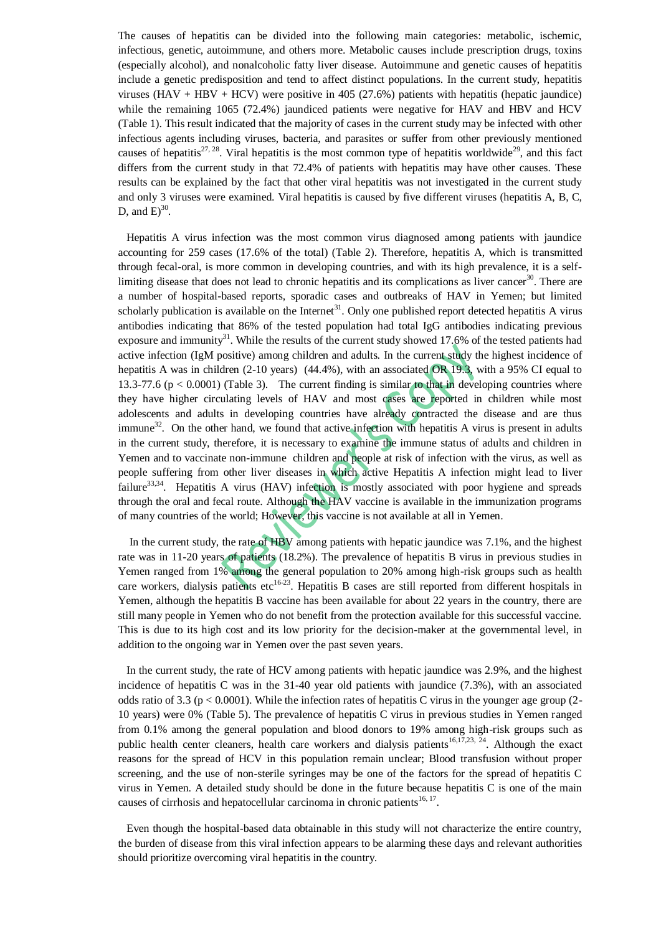The causes of hepatitis can be divided into the following main categories: metabolic, ischemic, infectious, genetic, autoimmune, and others more. Metabolic causes include prescription drugs, toxins (especially alcohol), and nonalcoholic fatty liver disease. Autoimmune and genetic causes of hepatitis include a genetic predisposition and tend to affect distinct populations. In the current study, hepatitis viruses ( $HAV + HBV + HCV$ ) were positive in 405 (27.6%) patients with hepatitis (hepatic jaundice) while the remaining 1065 (72.4%) jaundiced patients were negative for HAV and HBV and HCV (Table 1). This result indicated that the majority of cases in the current study may be infected with other infectious agents including viruses, bacteria, and parasites or suffer from other previously mentioned causes of hepatitis<sup>27, 28</sup>. Viral hepatitis is the most common type of hepatitis worldwide<sup>29</sup>, and this fact differs from the current study in that 72.4% of patients with hepatitis may have other causes. These results can be explained by the fact that other viral hepatitis was not investigated in the current study and only 3 viruses were examined. Viral hepatitis is caused by five different viruses (hepatitis A, B, C, D, and  $E^{30}$ .

 Hepatitis A virus infection was the most common virus diagnosed among patients with jaundice accounting for 259 cases (17.6% of the total) (Table 2). Therefore, hepatitis A, which is transmitted through fecal-oral, is more common in developing countries, and with its high prevalence, it is a selflimiting disease that does not lead to chronic hepatitis and its complications as liver cancer<sup>30</sup>. There are a number of hospital-based reports, sporadic cases and outbreaks of HAV in Yemen; but limited scholarly publication is available on the Internet<sup>31</sup>. Only one published report detected hepatitis A virus antibodies indicating that 86% of the tested population had total IgG antibodies indicating previous exposure and immunity<sup>31</sup>. While the results of the current study showed 17.6% of the tested patients had active infection (IgM positive) among children and adults. In the current study the highest incidence of hepatitis A was in children (2-10 years) (44.4%), with an associated OR 19.3, with a 95% CI equal to 13.3-77.6 ( $p < 0.0001$ ) (Table 3). The current finding is similar to that in developing countries where they have higher circulating levels of HAV and most cases are reported in children while most adolescents and adults in developing countries have already contracted the disease and are thus immune<sup>32</sup>. On the other hand, we found that active infection with hepatitis A virus is present in adults in the current study, therefore, it is necessary to examine the immune status of adults and children in Yemen and to vaccinate non-immune children and people at risk of infection with the virus, as well as people suffering from other liver diseases in which active Hepatitis A infection might lead to liver failure<sup>33,34</sup>. Hepatitis A virus (HAV) infection is mostly associated with poor hygiene and spreads through the oral and fecal route. Although the HAV vaccine is available in the immunization programs of many countries of the world; However, this vaccine is not available at all in Yemen.

 In the current study, the rate of HBV among patients with hepatic jaundice was 7.1%, and the highest rate was in 11-20 years of patients (18.2%). The prevalence of hepatitis B virus in previous studies in Yemen ranged from 1% among the general population to 20% among high-risk groups such as health care workers, dialysis patients etc<sup>16-23</sup>. Hepatitis B cases are still reported from different hospitals in Yemen, although the hepatitis B vaccine has been available for about 22 years in the country, there are still many people in Yemen who do not benefit from the protection available for this successful vaccine. This is due to its high cost and its low priority for the decision-maker at the governmental level, in addition to the ongoing war in Yemen over the past seven years.

 In the current study, the rate of HCV among patients with hepatic jaundice was 2.9%, and the highest incidence of hepatitis C was in the 31-40 year old patients with jaundice (7.3%), with an associated odds ratio of 3.3 ( $p < 0.0001$ ). While the infection rates of hepatitis C virus in the younger age group (2-10 years) were 0% (Table 5). The prevalence of hepatitis C virus in previous studies in Yemen ranged from 0.1% among the general population and blood donors to 19% among high-risk groups such as public health center cleaners, health care workers and dialysis patients<sup>16,17,23, 24</sup>. Although the exact reasons for the spread of HCV in this population remain unclear; Blood transfusion without proper screening, and the use of non-sterile syringes may be one of the factors for the spread of hepatitis C virus in Yemen. A detailed study should be done in the future because hepatitis C is one of the main causes of cirrhosis and hepatocellular carcinoma in chronic patients $16, 17$ .

 Even though the hospital-based data obtainable in this study will not characterize the entire country, the burden of disease from this viral infection appears to be alarming these days and relevant authorities should prioritize overcoming viral hepatitis in the country.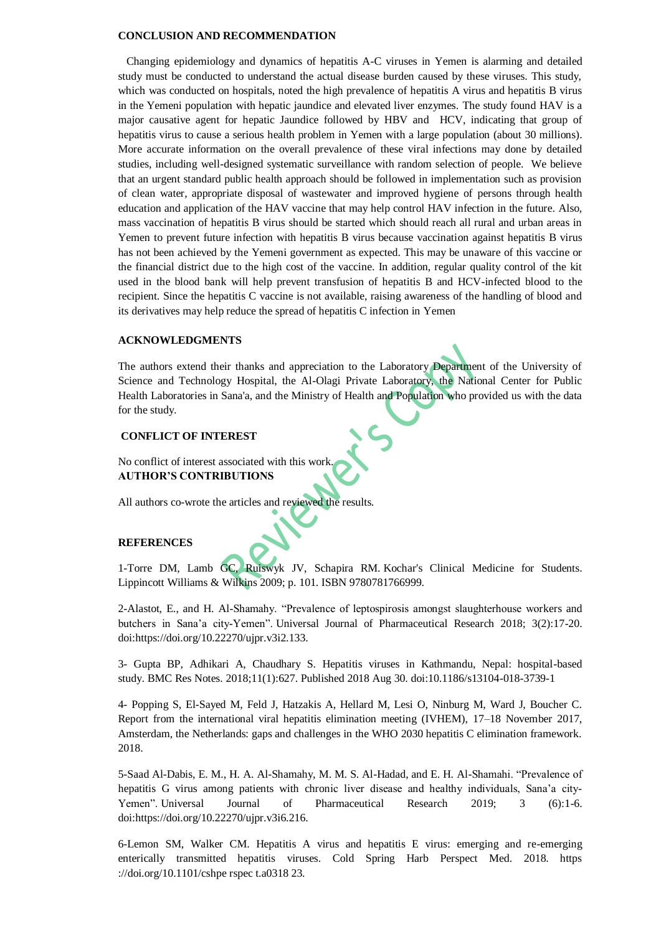#### **CONCLUSION AND RECOMMENDATION**

 Changing epidemiology and dynamics of hepatitis A-C viruses in Yemen is alarming and detailed study must be conducted to understand the actual disease burden caused by these viruses. This study, which was conducted on hospitals, noted the high prevalence of hepatitis A virus and hepatitis B virus in the Yemeni population with hepatic jaundice and elevated liver enzymes. The study found HAV is a major causative agent for hepatic Jaundice followed by HBV and HCV, indicating that group of hepatitis virus to cause a serious health problem in Yemen with a large population (about 30 millions). More accurate information on the overall prevalence of these viral infections may done by detailed studies, including well-designed systematic surveillance with random selection of people. We believe that an urgent standard public health approach should be followed in implementation such as provision of clean water, appropriate disposal of wastewater and improved hygiene of persons through health education and application of the HAV vaccine that may help control HAV infection in the future. Also, mass vaccination of hepatitis B virus should be started which should reach all rural and urban areas in Yemen to prevent future infection with hepatitis B virus because vaccination against hepatitis B virus has not been achieved by the Yemeni government as expected. This may be unaware of this vaccine or the financial district due to the high cost of the vaccine. In addition, regular quality control of the kit used in the blood bank will help prevent transfusion of hepatitis B and HCV-infected blood to the recipient. Since the hepatitis C vaccine is not available, raising awareness of the handling of blood and its derivatives may help reduce the spread of hepatitis C infection in Yemen

## **ACKNOWLEDGMENTS**

The authors extend their thanks and appreciation to the Laboratory Department of the University of Science and Technology Hospital, the Al-Olagi Private Laboratory, the National Center for Public Health Laboratories in Sana'a, and the Ministry of Health and Population who provided us with the data for the study.

## **CONFLICT OF INTEREST**

No conflict of interest associated with this work. **AUTHOR'S CONTRIBUTIONS**

All authors co-wrote the articles and reviewed the results.

#### **REFERENCES**

1-Torre DM, Lamb GC, Ruiswyk JV, Schapira RM. [Kochar's Clinical Medicine for Students.](https://books.google.com/books?id=S0Jz_3WEPYMC&pg=PA101) Lippincott Williams & Wilkins 2009; p. 101. [ISBN](https://en.wikipedia.org/wiki/ISBN_(identifier)) [9780781766999.](https://en.wikipedia.org/wiki/Special:BookSources/9780781766999)

2-Alastot, E., and H. Al-Shamahy. "Prevalence of leptospirosis amongst slaughterhouse workers and butchers in Sana'a city-Yemen". Universal Journal of Pharmaceutical Research 2018; 3(2):17-20. doi:https://doi.org/10.22270/ujpr.v3i2.133.

3- Gupta BP, Adhikari A, Chaudhary S. Hepatitis viruses in Kathmandu, Nepal: hospital-based study. BMC Res Notes. 2018;11(1):627. Published 2018 Aug 30. doi:10.1186/s13104-018-3739-1

4- Popping S, El-Sayed M, Feld J, Hatzakis A, Hellard M, Lesi O, Ninburg M, Ward J, Boucher C. Report from the international viral hepatitis elimination meeting (IVHEM), 17–18 November 2017, Amsterdam, the Netherlands: gaps and challenges in the WHO 2030 hepatitis C elimination framework. 2018.

5-Saad Al-Dabis, E. M., H. A. Al-Shamahy, M. M. S. Al-Hadad, and E. H. Al-Shamahi. "Prevalence of hepatitis G virus among patients with chronic liver disease and healthy individuals, Sana'a city-Yemen". Universal Journal of Pharmaceutical Research 2019; 3 (6):1-6. doi:https://doi.org/10.22270/ujpr.v3i6.216.

6-Lemon SM, Walker CM. Hepatitis A virus and hepatitis E virus: emerging and re-emerging enterically transmitted hepatitis viruses. Cold Spring Harb Perspect Med. 2018. https ://doi.org/10.1101/cshpe rspec t.a0318 23.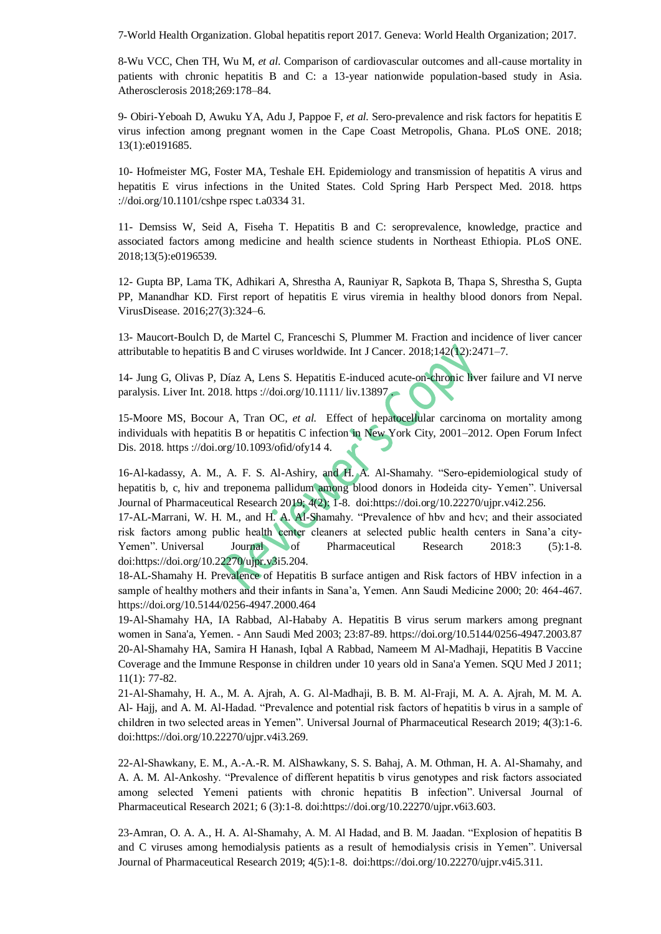7-World Health Organization. Global hepatitis report 2017. Geneva: World Health Organization; 2017.

8-Wu VCC, Chen TH, Wu M, *et al*. Comparison of cardiovascular outcomes and all-cause mortality in patients with chronic hepatitis B and C: a 13-year nationwide population-based study in Asia. Atherosclerosis 2018;269:178–84.

9- Obiri-Yeboah D, Awuku YA, Adu J, Pappoe F, *et al.* Sero-prevalence and risk factors for hepatitis E virus infection among pregnant women in the Cape Coast Metropolis, Ghana. PLoS ONE. 2018; 13(1):e0191685.

10- Hofmeister MG, Foster MA, Teshale EH. Epidemiology and transmission of hepatitis A virus and hepatitis E virus infections in the United States. Cold Spring Harb Perspect Med. 2018. https ://doi.org/10.1101/cshpe rspec t.a0334 31.

11- Demsiss W, Seid A, Fiseha T. Hepatitis B and C: seroprevalence, knowledge, practice and associated factors among medicine and health science students in Northeast Ethiopia. PLoS ONE. 2018;13(5):e0196539.

12- Gupta BP, Lama TK, Adhikari A, Shrestha A, Rauniyar R, Sapkota B, Thapa S, Shrestha S, Gupta PP, Manandhar KD. First report of hepatitis E virus viremia in healthy blood donors from Nepal. VirusDisease. 2016;27(3):324–6.

13- Maucort-Boulch D, de Martel C, Franceschi S, Plummer M. Fraction and incidence of liver cancer attributable to hepatitis B and C viruses worldwide. Int J Cancer. 2018;142(12):2471–7.

14- Jung G, Olivas P, Díaz A, Lens S. Hepatitis E-induced acute-on-chronic liver failure and VI nerve paralysis. Liver Int. 2018. https ://doi.org/10.1111/ liv.13897 .

15-Moore MS, Bocour A, Tran OC, *et al.* Effect of hepatocellular carcinoma on mortality among individuals with hepatitis B or hepatitis C infection in New York City, 2001–2012. Open Forum Infect Dis. 2018. https ://doi.org/10.1093/ofid/ofy14 4.

16-Al-kadassy, A. M., A. F. S. Al-Ashiry, and H. A. Al-Shamahy. "Sero-epidemiological study of hepatitis b, c, hiv and treponema pallidum among blood donors in Hodeida city- Yemen". Universal Journal of Pharmaceutical Research 2019; 4(2): 1-8. doi:https://doi.org/10.22270/ujpr.v4i2.256.

17-AL-Marrani, W. H. M., and H. A. Al-Shamahy. "Prevalence of hbv and hcv; and their associated risk factors among public health center cleaners at selected public health centers in Sana'a city-Yemen". Universal Journal of Pharmaceutical Research 2018:3 (5):1-8. doi:https://doi.org/10.22270/ujpr.v3i5.204.

18-AL-Shamahy H. Prevalence of Hepatitis B surface antigen and Risk factors of HBV infection in a sample of healthy mothers and their infants in Sana'a, Yemen. Ann Saudi Medicine 2000; 20: 464-467. https://doi.org/10.5144/0256-4947.2000.464

19-Al-Shamahy HA, IA Rabbad, Al-Hababy A. Hepatitis B virus serum markers among pregnant women in Sana'a, Yemen. - Ann Saudi Med 2003; 23:87-89.<https://doi.org/10.5144/0256-4947.2003.87> 20-Al-Shamahy HA, Samira H Hanash, Iqbal A Rabbad, Nameem M Al-Madhaji, Hepatitis B Vaccine Coverage and the Immune Response in children under 10 years old in Sana'a Yemen. SQU Med J 2011; 11(1): 77-82.

21-Al-Shamahy, H. A., M. A. Ajrah, A. G. Al-Madhaji, B. B. M. Al-Fraji, M. A. A. Ajrah, M. M. A. Al- Hajj, and A. M. Al-Hadad. "Prevalence and potential risk factors of hepatitis b virus in a sample of children in two selected areas in Yemen". Universal Journal of Pharmaceutical Research 2019; 4(3):1-6. doi:https://doi.org/10.22270/ujpr.v4i3.269.

22-Al-Shawkany, E. M., A.-A.-R. M. AlShawkany, S. S. Bahaj, A. M. Othman, H. A. Al-Shamahy, and A. A. M. Al-Ankoshy. "Prevalence of different hepatitis b virus genotypes and risk factors associated among selected Yemeni patients with chronic hepatitis B infection". Universal Journal of Pharmaceutical Research 2021; 6 (3):1-8. doi:https://doi.org/10.22270/ujpr.v6i3.603.

23-Amran, O. A. A., H. A. Al-Shamahy, A. M. Al Hadad, and B. M. Jaadan. "Explosion of hepatitis B and C viruses among hemodialysis patients as a result of hemodialysis crisis in Yemen". Universal Journal of Pharmaceutical Research 2019; 4(5):1-8. doi:https://doi.org/10.22270/ujpr.v4i5.311.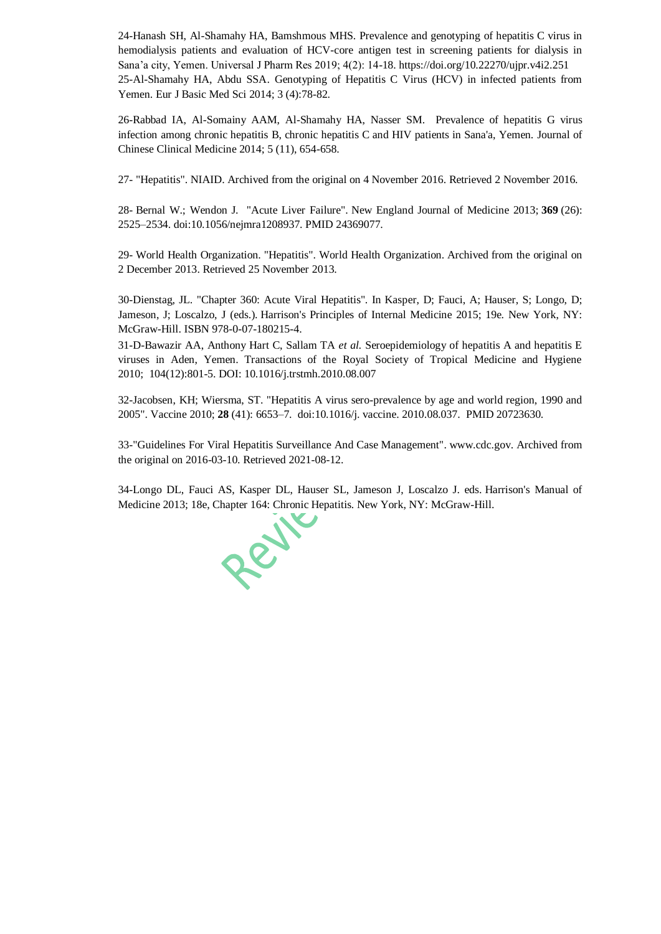24-Hanash SH, Al-Shamahy HA, Bamshmous MHS. Prevalence and genotyping of hepatitis C virus in hemodialysis patients and evaluation of HCV-core antigen test in screening patients for dialysis in Sana'a city, Yemen. Universal J Pharm Res 2019; 4(2): 14-18.<https://doi.org/10.22270/ujpr.v4i2.251> 25-Al-Shamahy HA, Abdu SSA. [Genotyping of Hepatitis C Virus \(HCV\) in infected patients from](https://scholar.google.com/citations?view_op=view_citation&hl=ar&user=gmHYdbkAAAAJ&cstart=20&pagesize=80&citation_for_view=gmHYdbkAAAAJ:hqOjcs7Dif8C)  [Yemen.](https://scholar.google.com/citations?view_op=view_citation&hl=ar&user=gmHYdbkAAAAJ&cstart=20&pagesize=80&citation_for_view=gmHYdbkAAAAJ:hqOjcs7Dif8C) Eur J Basic Med Sci 2014; 3 (4):78-82.

26-Rabbad IA, Al-Somainy AAM, Al-Shamahy HA, Nasser SM. [Prevalence of hepatitis G virus](https://scholar.google.com/citations?view_op=view_citation&hl=ar&user=gmHYdbkAAAAJ&cstart=20&pagesize=80&citation_for_view=gmHYdbkAAAAJ:WF5omc3nYNoC)  [infection among chronic hepatitis B, chronic hepatitis C and HIV patients in Sana'a, Yemen.](https://scholar.google.com/citations?view_op=view_citation&hl=ar&user=gmHYdbkAAAAJ&cstart=20&pagesize=80&citation_for_view=gmHYdbkAAAAJ:WF5omc3nYNoC) Journal of Chinese Clinical Medicine 2014; 5 (11), 654-658.

27- ["Hepatitis".](https://www.niaid.nih.gov/diseases-conditions/hepatitis) NIAID. [Archived](https://web.archive.org/web/20161104002228/https:/www.niaid.nih.gov/diseases-conditions/hepatitis) from the original on 4 November 2016. Retrieved 2 November 2016.

28- Bernal W.; Wendon J. "Acute Liver Failure". New England Journal of Medicine 2013; **369** (26): 2525–2534. [doi](https://en.wikipedia.org/wiki/Doi_(identifier))[:10.1056/nejmra1208937.](https://doi.org/10.1056%2Fnejmra1208937) [PMID](https://en.wikipedia.org/wiki/PMID_(identifier)) [24369077.](https://pubmed.ncbi.nlm.nih.gov/24369077)

29- World Health Organization. ["Hepatitis".](https://www.who.int/topics/hepatitis/en/) World Health Organization. [Archived](https://web.archive.org/web/20131202223841/http:/www.who.int/topics/hepatitis/en/) from the original on 2 December 2013. Retrieved 25 November 2013.

30-Dienstag, JL. "Chapter 360: Acute Viral Hepatitis". In Kasper, D; Fauci, A; Hauser, S; Longo, D; Jameson, J; Loscalzo, J (eds.). Harrison's Principles of Internal Medicine 2015; 19e. New York, NY: McGraw-Hill. [ISBN](https://en.wikipedia.org/wiki/ISBN_(identifier)) [978-0-07-180215-4.](https://en.wikipedia.org/wiki/Special:BookSources/978-0-07-180215-4)

31-D-Bawazir AA, Anthony Hart C, Sallam TA *et al.* Seroepidemiology of hepatitis A and hepatitis E viruses in Aden, Yemen. Transactions of the Royal Society of Tropical Medicine and Hygiene 2010; 104(12):801-5. DOI: [10.1016/j.trstmh.2010.08.007](http://dx.doi.org/10.1016/j.trstmh.2010.08.007)

32-Jacobsen, KH; Wiersma, ST. "Hepatitis A virus sero-prevalence by age and world region, 1990 and 2005". Vaccine 2010; **28** (41): 6653–7. [doi](https://en.wikipedia.org/wiki/Doi_(identifier))[:10.1016/j. vaccine. 2010.08.037.](https://doi.org/10.1016%2Fj.vaccine.2010.08.037) [PMID](https://en.wikipedia.org/wiki/PMID_(identifier)) [20723630.](https://pubmed.ncbi.nlm.nih.gov/20723630)

33[-"Guidelines For Viral Hepatitis Surveillance And Case Management".](https://www.cdc.gov/hepatitis/statistics/surveillanceguidelines.htm) www.cdc.gov. [Archived](https://web.archive.org/web/20160310094046/http:/www.cdc.gov/hepatitis/statistics/surveillanceguidelines.htm) from the original on 2016-03-10. Retrieved 2021-08-12.

34-Longo DL, Fauci AS, Kasper DL, Hauser SL, Jameson J, Loscalzo J. eds. Harrison's Manual of Medicine 2013; 18e, Chapter 164: Chronic Hepatitis. New York, NY: McGraw-Hill.

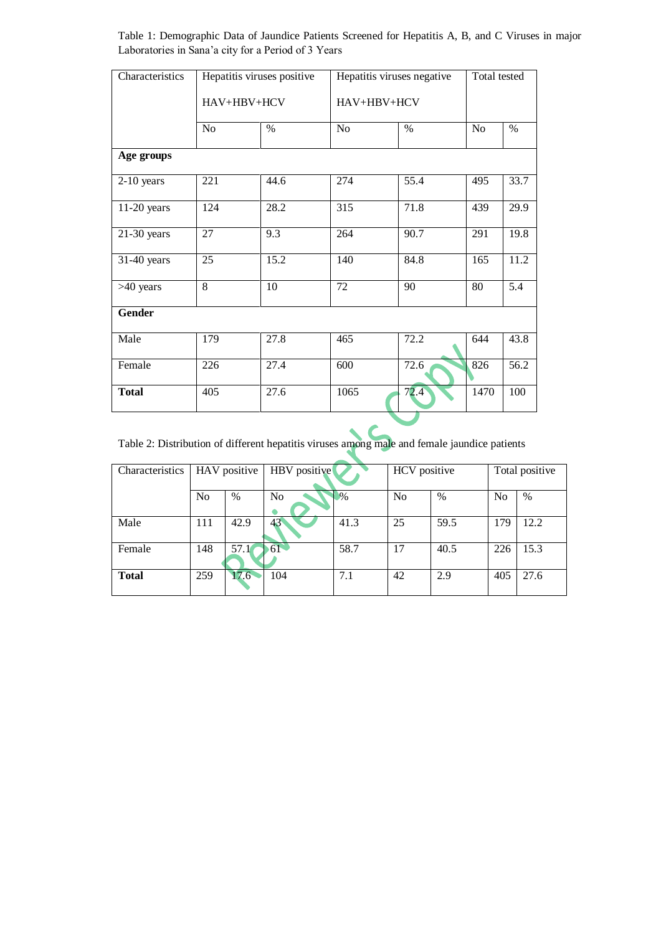Table 1: Demographic Data of Jaundice Patients Screened for Hepatitis A, B, and C Viruses in major Laboratories in Sana'a city for a Period of 3 Years

| Characteristics |                | Hepatitis viruses positive | Hepatitis viruses negative | Total tested |                |                  |  |  |  |
|-----------------|----------------|----------------------------|----------------------------|--------------|----------------|------------------|--|--|--|
|                 | HAV+HBV+HCV    |                            | HAV+HBV+HCV                |              |                |                  |  |  |  |
|                 | No             | $\%$                       | No                         | $\%$         | N <sub>o</sub> | $\%$             |  |  |  |
| Age groups      |                |                            |                            |              |                |                  |  |  |  |
| $2-10$ years    | 221            | 44.6                       | 274                        | 55.4         | 495            | 33.7             |  |  |  |
| $11-20$ years   | 124            | 28.2                       | 315                        | 71.8         | 439            | 29.9             |  |  |  |
| $21-30$ years   | 27             | 9.3                        | 264                        | 90.7         | 291            | 19.8             |  |  |  |
| 31-40 years     | 25             | 15.2                       | 140                        | 84.8         | 165            | 11.2             |  |  |  |
| >40 years       | $\overline{8}$ | 10                         | $\overline{72}$            | 90           | 80             | $\overline{5.4}$ |  |  |  |
| <b>Gender</b>   |                |                            |                            |              |                |                  |  |  |  |
| Male            | 179            | 27.8                       | 465                        | 72.2         | 644            | 43.8             |  |  |  |
| Female          | 226            | 27.4                       | 600                        | 72.6         | 826            | 56.2             |  |  |  |
| <b>Total</b>    | 405            | 27.6                       | 1065                       | 72.4         | 1470           | 100              |  |  |  |

Table 2: Distribution of different hepatitis viruses among male and female jaundice patients

| Characteristics | HAV positive   |      | HBV positive |      | HCV positive |      | Total positive |      |  |
|-----------------|----------------|------|--------------|------|--------------|------|----------------|------|--|
|                 | N <sub>0</sub> | $\%$ | No           | $\%$ | No           | $\%$ | N <sub>0</sub> | %    |  |
| Male            | 111            | 42.9 | 43           | 41.3 | 25           | 59.5 | 179            | 12.2 |  |
| Female          | 148            | 57.1 | 61           | 58.7 | 17           | 40.5 | 226            | 15.3 |  |
| <b>Total</b>    | 259            | 17.6 | 104          | 7.1  | 42           | 2.9  | 405            | 27.6 |  |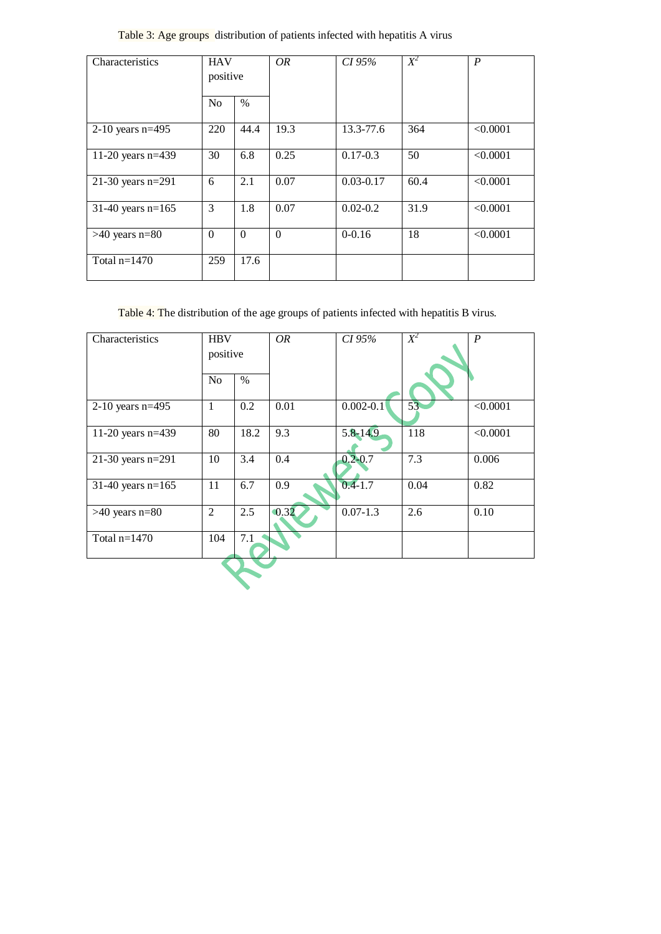Table 3: Age groups distribution of patients infected with hepatitis A virus

| Characteristics     | <b>HAV</b><br>positive<br>N <sub>o</sub><br>$\%$ |              | OR       | CI 95%        | $X^2$ | $\boldsymbol{P}$ |
|---------------------|--------------------------------------------------|--------------|----------|---------------|-------|------------------|
|                     |                                                  |              |          |               |       |                  |
| 2-10 years $n=495$  | 220                                              | 44.4         | 19.3     | 13.3-77.6     | 364   | < 0.0001         |
| 11-20 years $n=439$ | 30                                               | 6.8          | 0.25     | $0.17 - 0.3$  | 50    | < 0.0001         |
| 21-30 years $n=291$ | 6                                                | 2.1          | 0.07     | $0.03 - 0.17$ | 60.4  | < 0.0001         |
| 31-40 years $n=165$ | 3                                                | 1.8          | 0.07     | $0.02 - 0.2$  | 31.9  | < 0.0001         |
| $>40$ years n=80    | $\Omega$                                         | $\mathbf{0}$ | $\Omega$ | $0 - 0.16$    | 18    | < 0.0001         |
| Total $n=1470$      | 259                                              | 17.6         |          |               |       |                  |

Table 4: The distribution of the age groups of patients infected with hepatitis B virus.

| Characteristics     | <b>HBV</b><br>positive |      | OR                | CI 95%        | $X^2$            | $\boldsymbol{P}$ |  |
|---------------------|------------------------|------|-------------------|---------------|------------------|------------------|--|
|                     | N <sub>o</sub>         | $\%$ |                   |               |                  |                  |  |
| $2-10$ years n=495  | $\mathbf{1}$           | 0.2  | 0.01              | $0.002 - 0.1$ | 53               | < 0.0001         |  |
| 11-20 years $n=439$ | 80                     | 18.2 | 9.3               | 5.8-14.9      | 118              | < 0.0001         |  |
| 21-30 years $n=291$ | 10                     | 3.4  | 0.4               | $0.2 - 0.7$   | $\overline{7.3}$ | 0.006            |  |
| 31-40 years $n=165$ | 11                     | 6.7  | 0.9               | $0.4 - 1.7$   | 0.04             | 0.82             |  |
| $>40$ years n=80    | $\overline{2}$         | 2.5  | $\overline{0.32}$ | $0.07 - 1.3$  | 2.6              | 0.10             |  |
| Total $n=1470$      | 104                    | 7.1  |                   |               |                  |                  |  |
|                     |                        |      |                   |               |                  |                  |  |